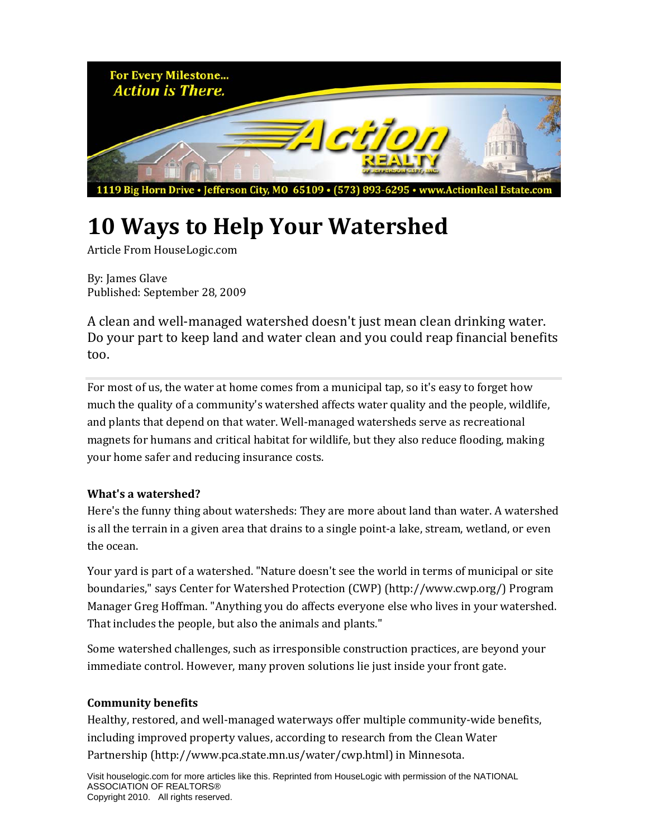

## **10 Ways to Help Your Watershed**

Article From HouseLogic.com

By: James Glave Published: September 28, 2009

A clean and well‐managed watershed doesn't just mean clean drinking water. Do your part to keep land and water clean and you could reap financial benefits too.

For most of us, the water at home comes from a municipal tap, so it's easy to forget how much the quality of a community's watershed affects water quality and the people, wildlife, and plants that depend on that water. Well‐managed watersheds serve as recreational magnets for humans and critical habitat for wildlife, but they also reduce flooding, making your home safer and reducing insurance costs.

## **What's a watershed?**

Here's the funny thing about watersheds: They are more about land than water. A watershed is all the terrain in a given area that drains to a single point-a lake, stream, wetland, or even the ocean.

Your yard is part of a watershed. "Nature doesn't see the world in terms of municipal or site boundaries," says Center for Watershed Protection (CWP) (http://www.cwp.org/) Program Manager Greg Hoffman. "Anything you do affects everyone else who lives in your watershed. That includes the people, but also the animals and plants."

Some watershed challenges, such as irresponsible construction practices, are beyond your immediate control. However, many proven solutions lie just inside your front gate.

## **Community benefits**

Healthy, restored, and well-managed waterways offer multiple community-wide benefits, including improved property values, according to research from the Clean Water Partnership (http://www.pca.state.mn.us/water/cwp.html) in Minnesota.